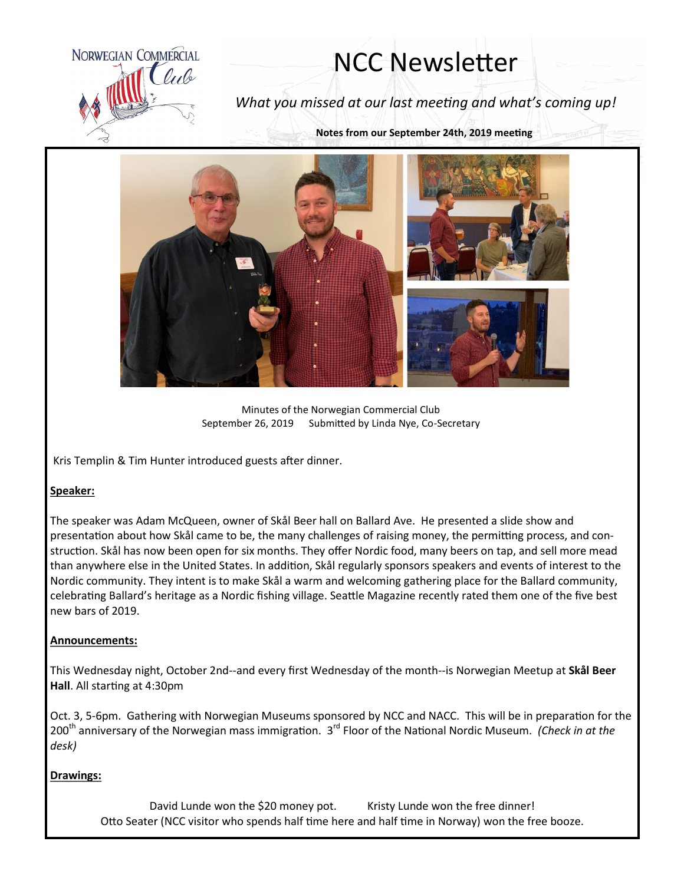

# NCC Newsletter

*What you missed at our last meeting and what's coming up!*

**Notes from our September 24th, 2019 meeting**



Minutes of the Norwegian Commercial Club September 26, 2019 Submitted by Linda Nye, Co-Secretary

Kris Templin & Tim Hunter introduced guests after dinner.

### **Speaker:**

The speaker was Adam McQueen, owner of Skål Beer hall on Ballard Ave. He presented a slide show and presentation about how Skål came to be, the many challenges of raising money, the permitting process, and construction. Skål has now been open for six months. They offer Nordic food, many beers on tap, and sell more mead than anywhere else in the United States. In addition, Skål regularly sponsors speakers and events of interest to the Nordic community. They intent is to make Skål a warm and welcoming gathering place for the Ballard community, celebrating Ballard's heritage as a Nordic fishing village. Seattle Magazine recently rated them one of the five best new bars of 2019.

#### **Announcements:**

This Wednesday night, October 2nd--and every first Wednesday of the month--is Norwegian Meetup at **Skål Beer Hall**. All starting at 4:30pm

Oct. 3, 5-6pm. Gathering with Norwegian Museums sponsored by NCC and NACC. This will be in preparation for the 200<sup>th</sup> anniversary of the Norwegian mass immigration. 3<sup>rd</sup> Floor of the National Nordic Museum. *(Check in at the desk)*

#### **Drawings:**

David Lunde won the \$20 money pot. Kristy Lunde won the free dinner! Otto Seater (NCC visitor who spends half time here and half time in Norway) won the free booze.